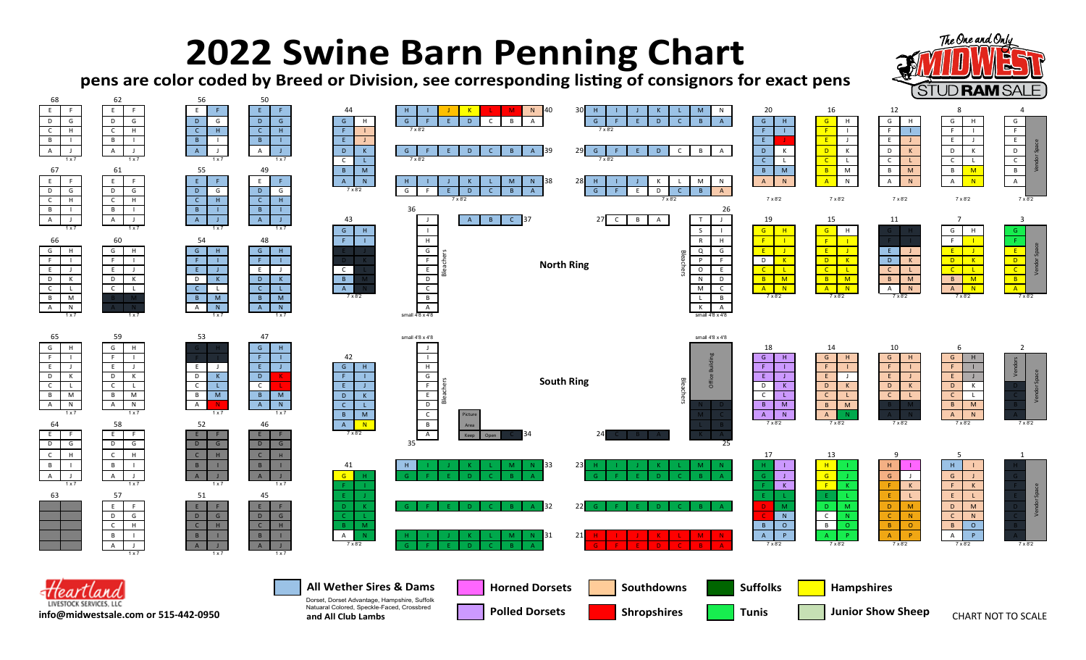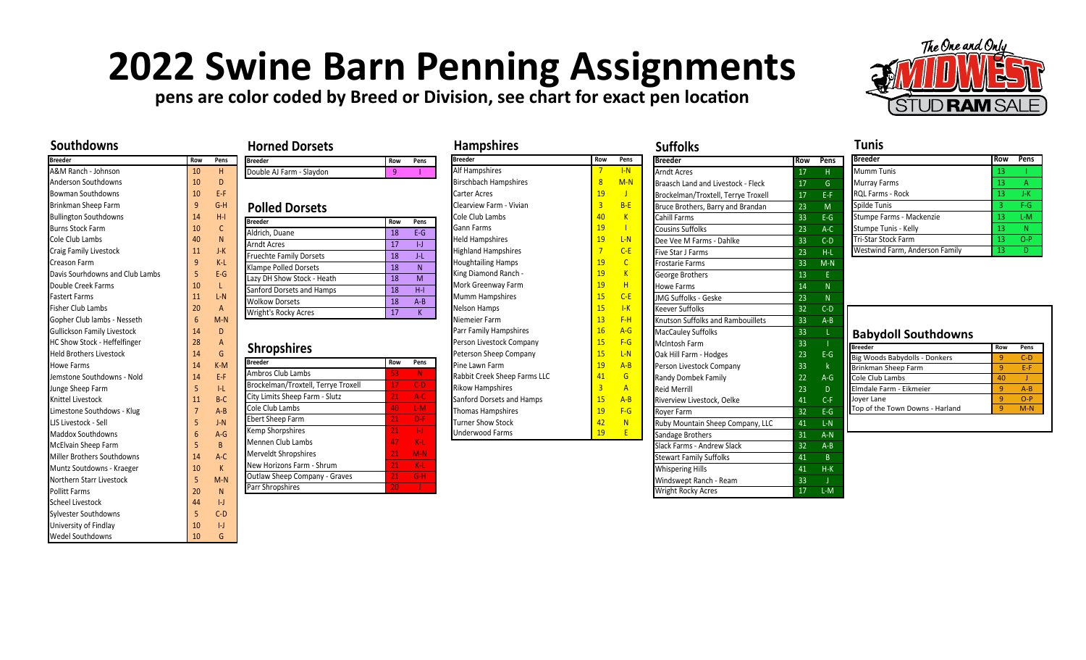## **2022 Swine Barn Penning Assignments**

**pens are color coded by Breed or Division, see chart for exact pen location**



## **Southdowns**

| Breeder                             | Row              | Pens           | <b>Bre</b>      |
|-------------------------------------|------------------|----------------|-----------------|
| A&M Ranch - Johnson                 | 10 <sup>°</sup>  | H.             | Do              |
| <b>Anderson Southdowns</b>          | 10 <sup>°</sup>  | $\overline{D}$ |                 |
| <b>Bowman Southdowns</b>            | 10 <sup>1</sup>  | F-F            |                 |
| Brinkman Sheep Farm                 | 9 <sup>°</sup>   | $G-H$          | Ρı              |
| <b>Bullington Southdowns</b>        | 14               | $H-I$          | Bre             |
| <b>Burns Stock Farm</b>             | $10-10$          | $\mathsf{C}$   | Ald             |
| Cole Club Lambs                     | 40               | $\mathsf{N}$   | Arr             |
| Craig Family Livestock              | 11 <sup>1</sup>  | $J-K$          | Fru             |
| Creason Farm                        | 9 <sup>°</sup>   | $K-L$          | Kla             |
| Davis Sourhdowns and Club Lambs     | 5                | $E-G$          | Laz             |
| Double Creek Farms                  | $10-10$          | L.             | Sar             |
| <b>Fastert Farms</b>                | 11               | $L-N$          | Wc              |
| <b>Fisher Club Lambs</b>            | 20 <sup>°</sup>  | $\mathsf{A}$   | Wr              |
| Gopher Club lambs - Nesseth         | 6                | $M-N$          |                 |
| <b>Gullickson Family Livestock</b>  | 14 <sup>1</sup>  | D              |                 |
| <b>HC Show Stock - Heffelfinger</b> | 28               | A              | Sl              |
| <b>Held Brothers Livestock</b>      | 14 <sup>1</sup>  | G              |                 |
| <b>Howe Farms</b>                   | 14               | $K-M$          | <b>Bre</b>      |
| Jemstone Southdowns - Nold          | 14               | F-F            | Am              |
| Junge Sheep Farm                    | 5                | I-L            | Brc             |
| Knittel Livestock                   | 11 <sup>1</sup>  | $B-C$          | Cit             |
| Limestone Southdows - Klug          | $\overline{7}$   | $A - B$        | Col             |
| LIS Livestock - Sell                | 5                | $I-N$          | Ebe             |
| <b>Maddox Southdowns</b>            | $6\overline{6}$  | $A - G$        | Ker             |
| McElvain Sheep Farm                 | 5                | B              | Me              |
| Miller Brothers Southdowns          | 14 <sup>1</sup>  | $A-C$          | Me              |
| Muntz Soutdowns - Kraeger           | 10               | $\mathsf{K}$   | Ne <sup>.</sup> |
| Northern Starr Livestock            | 5                | $M-N$          | Ou              |
| <b>Pollitt Farms</b>                | 20               | N.             | Par             |
| <b>Scheel Livestock</b>             | 44               | H              |                 |
| Sylvester Southdowns                | 5                | $C-D$          |                 |
| University of Findlay               | 10 <sup>10</sup> | H              |                 |
| <b>Wedel Southdowns</b>             | 10               | G              |                 |

|                       | <b>Horned Dorsets</b>               |                 |         |
|-----------------------|-------------------------------------|-----------------|---------|
| Pens                  | <b>Breeder</b>                      | Row             | Pens    |
| н                     | Double AJ Farm - Slaydon            | 9               | I       |
| D                     |                                     |                 |         |
| $E - F$               |                                     |                 |         |
| $G-H$                 | <b>Polled Dorsets</b>               |                 |         |
| $H - I$               | <b>Breeder</b>                      | Row             | Pens    |
| $\mathsf{C}$          | Aldrich, Duane                      | 18              | $F-G$   |
| N                     | <b>Arndt Acres</b>                  | 17              | H       |
| $J-K$                 | <b>Fruechte Family Dorsets</b>      | 18              | ЛL      |
| $K-L$<br>$E-G$        | <b>Klampe Polled Dorsets</b>        | 18              | N       |
|                       | Lazy DH Show Stock - Heath          | 18              | M       |
| L.                    | Sanford Dorsets and Hamps           | 18              | $H-I$   |
| $L-N$                 | <b>Wolkow Dorsets</b>               | 18              | $A - B$ |
| $\mathsf{A}$<br>$M-N$ | Wright's Rocky Acres                | 17              | K       |
| D                     |                                     |                 |         |
| A                     |                                     |                 |         |
| G                     |                                     |                 |         |
| $K-M$                 | <b>Shropshires</b>                  |                 |         |
|                       | <b>Breeder</b>                      | Row             | Pens    |
| $F - F$               | Ambros Club Lambs                   | 53              | Ν       |
| $  -  $               | Brockelman/Troxtell, Terrye Troxell | 17              | $C-D$   |
| $B-C$                 | City Limits Sheep Farm - Slutz      | 21              | $A-C$   |
| $A - B$               | Cole Club Lambs                     | 40              | $L-M$   |
| $J-N$                 | <b>Ebert Sheep Farm</b>             | 21              | $D-F$   |
| $A-G$                 | Kemp Shorpshires                    | 21 <sup>2</sup> | $  -  $ |
| B.                    | Mennen Club Lambs                   | 47              | $K-L$   |
| $A-C$                 | Merveldt Shropshires                | 21 <sup>2</sup> | $M-N$   |
| $\mathsf{K}$          | New Horizons Farm - Shrum           | 21 <sup>2</sup> | $K-L$   |
| $M-N$                 | Outlaw Sheep Company - Graves       | 21 <sup>2</sup> | $G-H$   |
| N                     | Parr Shropshires                    | 20              | J       |
| $\mathsf{L}$          |                                     |                 |         |

| <b>Breeder</b>                      | Row             | Pens           |
|-------------------------------------|-----------------|----------------|
| Alf Hampshires                      | 7               | I-N            |
| <b>Birschbach Hampshires</b>        | $\overline{8}$  | $M-N$          |
| <b>Carter Acres</b>                 | 19              | Т              |
| Clearview Farm - Vivian             | $\overline{3}$  | $R-F$          |
| Cole Club Lambs                     | 40              | K              |
| <b>Gann Farms</b>                   | 19              |                |
| <b>Held Hampshires</b>              | 19              | $I - N$        |
| <b>Highland Hampshires</b>          | $\overline{7}$  | $C-F$          |
| <b>Houghtailing Hamps</b>           | 19              | $\mathsf{C}$   |
| King Diamond Ranch -                | 19              | K              |
| Mork Greenway Farm                  | 19              | н              |
| <b>Mumm Hampshires</b>              | 15 <sup>2</sup> | $C-F$          |
| <b>Nelson Hamps</b>                 | 15              | $I-K$          |
| Niemeier Farm                       | $13 -$          | $F-H$          |
| Parr Family Hampshires              | 16              | $A - G$        |
| Person Livestock Company            | 15 <sup>2</sup> | $F-G$          |
| Peterson Sheep Company              | 15 <sup>2</sup> | $I - N$        |
| Pine Lawn Farm                      | 19              | $A - R$        |
| <b>Rabbit Creek Sheep Farms LLC</b> | 41              | G              |
| <b>Rikow Hampshires</b>             | 3               | $\overline{A}$ |
| Sanford Dorsets and Hamps           | 15 <sub>1</sub> | $A - R$        |
| <b>Thomas Hampshires</b>            | 19              | $F-G$          |
| <b>Turner Show Stock</b>            | 42              | N              |
| <b>Underwood Farms</b>              | 19              | F              |

| <b>Breeder</b>                      | Row             | Pens           |
|-------------------------------------|-----------------|----------------|
| <b>Arndt Acres</b>                  | 17              | H.             |
| Braasch Land and Livestock - Fleck  | 17              | G              |
| Brockelman/Troxtell, Terrye Troxell | 17              | E-F            |
| Bruce Brothers, Barry and Brandan   | $23 -$          | M              |
| Cahill Farms                        | 33              | $E-G$          |
| <b>Cousins Suffolks</b>             | $23 -$          | $A-C$          |
| Dee Vee M Farms - Dahlke            | 33 <sup>°</sup> | $C-D$          |
| Five Star J Farms                   | 23              | H-L            |
| <b>Frostarie Farms</b>              | $33 -$          | $M-N$          |
| George Brothers                     | 13              | F              |
| <b>Howe Farms</b>                   | 14              | N.             |
| <b>IMG Suffolks - Geske</b>         | 23 <sup>°</sup> | N              |
| Keever Suffolks                     | $32 -$          | $C-D$          |
| Knutson Suffolks and Rambouillets   | 33              | $A - B$        |
| <b>MacCauley Suffolks</b>           | 33              | L              |
| <b>McIntosh Farm</b>                | 33 <sup>2</sup> | T              |
| Oak Hill Farm - Hodges              | $23 -$          | $E-G$          |
| Person Livestock Company            | $33 -$          | $\mathsf{k}$   |
| Randy Dombek Family                 | $22 -$          | $A - G$        |
| <b>Reid Merrill</b>                 | 23 <sup>°</sup> | $\overline{D}$ |
| Riverview Livestock, Oelke          | 41              | $C-F$          |
| Rover Farm                          | $32 -$          | $E-G$          |
| Ruby Mountain Sheep Company, LLC    | 41              | $L-N$          |
| Sandage Brothers                    | $31 -$          | $A-N$          |
| Slack Farms - Andrew Slack          | 32 <sup>2</sup> | $A - B$        |
| Stewart Family Suffolks             | 41              | $\overline{B}$ |
| <b>Whispering Hills</b>             | $4\overline{1}$ | $H-K$          |
| Windswept Ranch - Ream              | 33 <sup>2</sup> | J              |
| <b>Wright Rocky Acres</b>           | 17              | $L-M$          |

| <b>Tunis</b>                   |     |       |
|--------------------------------|-----|-------|
| <b>Breeder</b>                 | Row | Pens  |
| <b>Mumm Tunis</b>              | 13  |       |
| <b>Murray Farms</b>            | 13  | А     |
| RQL Farms - Rock               | 13  | J-K   |
| Spilde Tunis                   | 3   | F-G   |
| Stumpe Farms - Mackenzie       | 13  | L-M   |
| Stumpe Tunis - Kelly           | 13  | Ν     |
| Tri-Star Stock Farm            | 13  | $O-P$ |
| Westwind Farm, Anderson Family | 13  |       |

| <b>Babydoll Southdowns</b>    |     |         |
|-------------------------------|-----|---------|
| <b>Breeder</b>                | Row | Pens    |
| Big Woods Babydolls - Donkers | q   | $C-D$   |
| Brinkman Sheep Farm           | q   | F-F     |
| Cole Club Lambs               | 40  |         |
| Elmdale Farm - Eikmeier       | q   | $A - B$ |
| over Lane                     |     | ת-ר     |

Top of the Town Downs - Harland 9 M-N